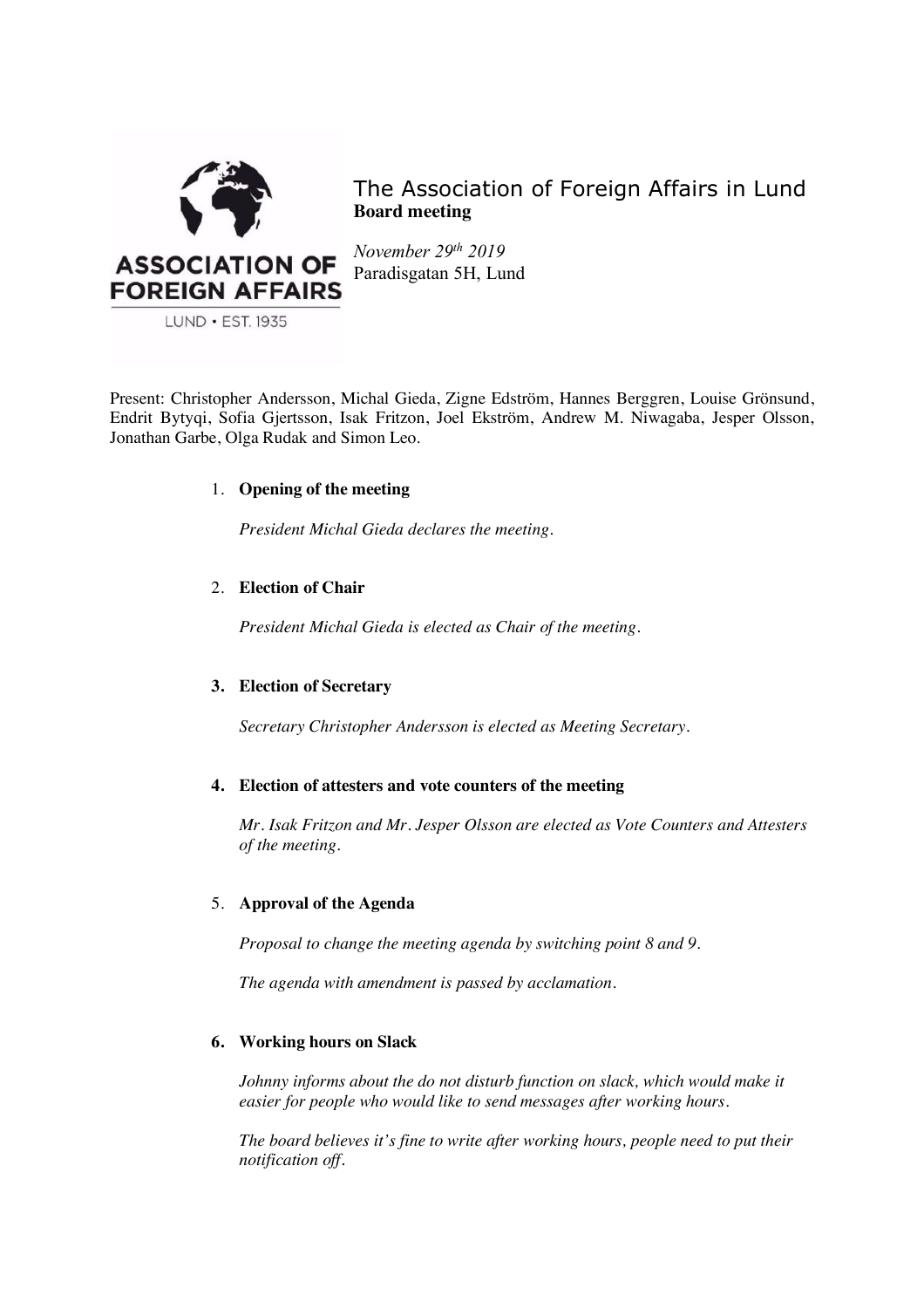

The Association of Foreign Affairs in Lund **Board meeting**

*November 29th 2019* Paradisgatan 5H, Lund

Present: Christopher Andersson, Michal Gieda, Zigne Edström, Hannes Berggren, Louise Grönsund, Endrit Bytyqi, Sofia Gjertsson, Isak Fritzon, Joel Ekström, Andrew M. Niwagaba, Jesper Olsson, Jonathan Garbe, Olga Rudak and Simon Leo.

# 1. **Opening of the meeting**

*President Michal Gieda declares the meeting.*

# 2. **Election of Chair**

*President Michal Gieda is elected as Chair of the meeting.*

# **3. Election of Secretary**

*Secretary Christopher Andersson is elected as Meeting Secretary.*

# **4. Election of attesters and vote counters of the meeting**

*Mr. Isak Fritzon and Mr. Jesper Olsson are elected as Vote Counters and Attesters of the meeting.*

# 5. **Approval of the Agenda**

*Proposal to change the meeting agenda by switching point 8 and 9.*

*The agenda with amendment is passed by acclamation.* 

# **6. Working hours on Slack**

*Johnny informs about the do not disturb function on slack, which would make it easier for people who would like to send messages after working hours.* 

*The board believes it's fine to write after working hours, people need to put their notification off.*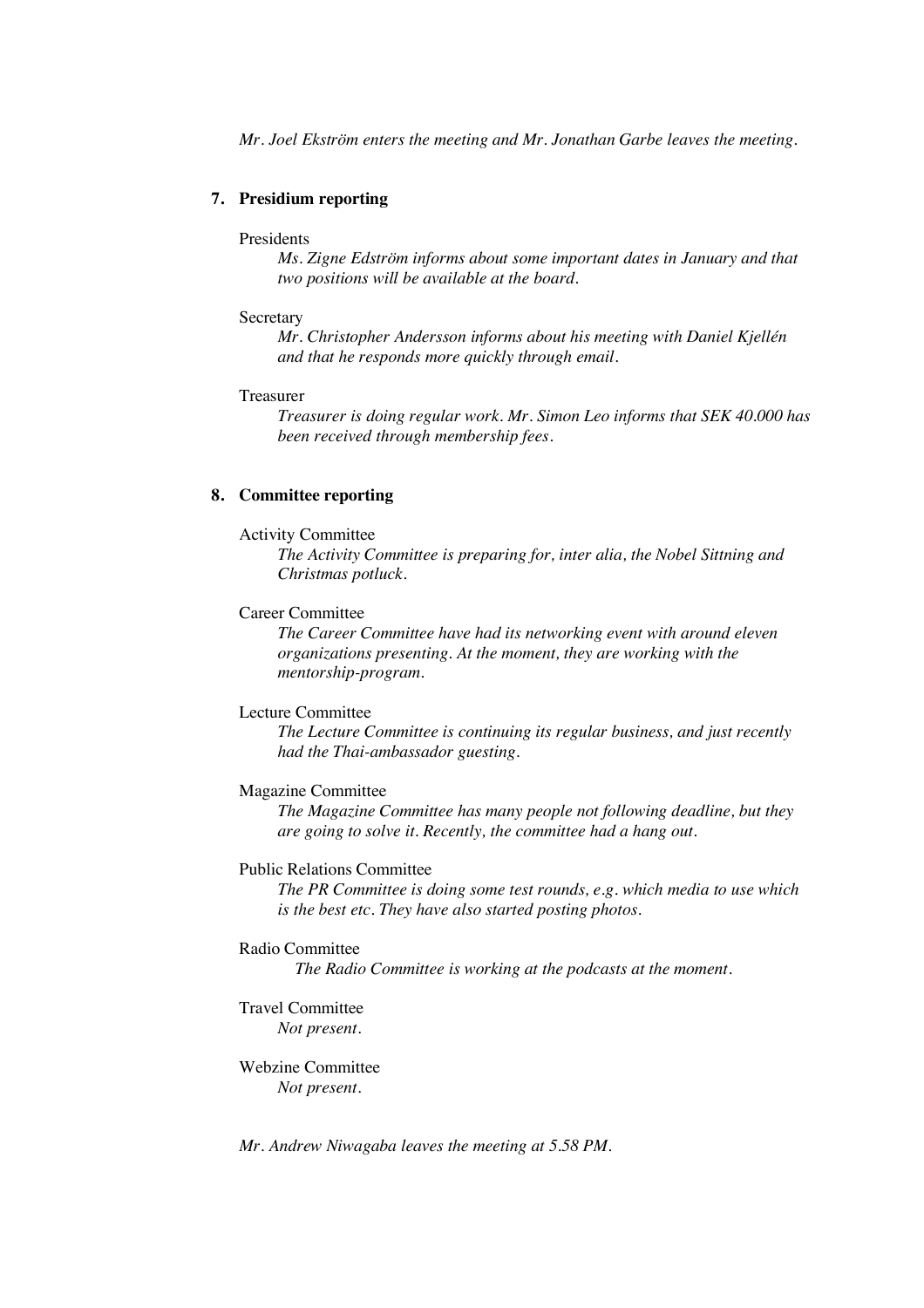*Mr. Joel Ekström enters the meeting and Mr. Jonathan Garbe leaves the meeting.* 

# **7. Presidium reporting**

#### Presidents

*Ms. Zigne Edström informs about some important dates in January and that two positions will be available at the board.* 

#### **Secretary**

*Mr. Christopher Andersson informs about his meeting with Daniel Kjellén and that he responds more quickly through email.* 

#### Treasurer

*Treasurer is doing regular work. Mr. Simon Leo informs that SEK 40.000 has been received through membership fees.* 

#### **8. Committee reporting**

#### Activity Committee

*The Activity Committee is preparing for, inter alia, the Nobel Sittning and Christmas potluck.*

### Career Committee

*The Career Committee have had its networking event with around eleven organizations presenting. At the moment, they are working with the mentorship-program.*

### Lecture Committee

*The Lecture Committee is continuing its regular business, and just recently had the Thai-ambassador guesting.* 

### Magazine Committee

*The Magazine Committee has many people not following deadline, but they are going to solve it. Recently, the committee had a hang out.* 

#### Public Relations Committee

*The PR Committee is doing some test rounds, e.g. which media to use which is the best etc. They have also started posting photos.* 

### Radio Committee

*The Radio Committee is working at the podcasts at the moment.* 

### Travel Committee *Not present.*

Webzine Committee *Not present.* 

*Mr. Andrew Niwagaba leaves the meeting at 5.58 PM.*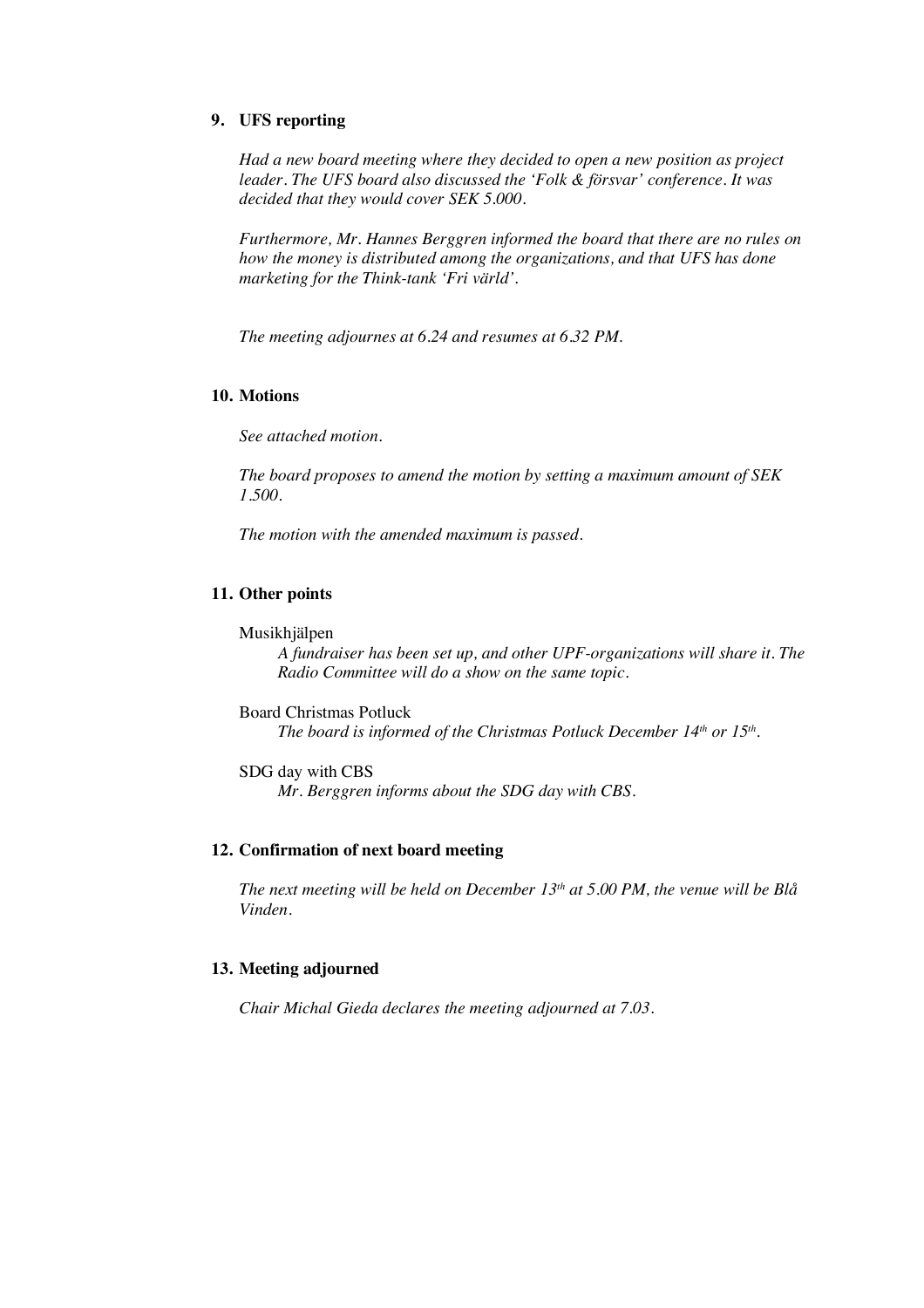# **9. UFS reporting**

*Had a new board meeting where they decided to open a new position as project leader. The UFS board also discussed the 'Folk & försvar' conference. It was decided that they would cover SEK 5.000.* 

*Furthermore, Mr. Hannes Berggren informed the board that there are no rules on how the money is distributed among the organizations, and that UFS has done marketing for the Think-tank 'Fri värld'.*

*The meeting adjournes at 6.24 and resumes at 6.32 PM.* 

#### **10. Motions**

*See attached motion.*

*The board proposes to amend the motion by setting a maximum amount of SEK 1.500.* 

*The motion with the amended maximum is passed.*

### **11. Other points**

Musikhjälpen

*A fundraiser has been set up, and other UPF-organizations will share it. The Radio Committee will do a show on the same topic.*

Board Christmas Potluck *The board is informed of the Christmas Potluck December 14<sup>th</sup> or 15<sup>th</sup>.* 

SDG day with CBS *Mr. Berggren informs about the SDG day with CBS.* 

#### **12. Confirmation of next board meeting**

*The next meeting will be held on December 13th at 5.00 PM, the venue will be Blå Vinden.*

#### **13. Meeting adjourned**

*Chair Michal Gieda declares the meeting adjourned at 7.03.*